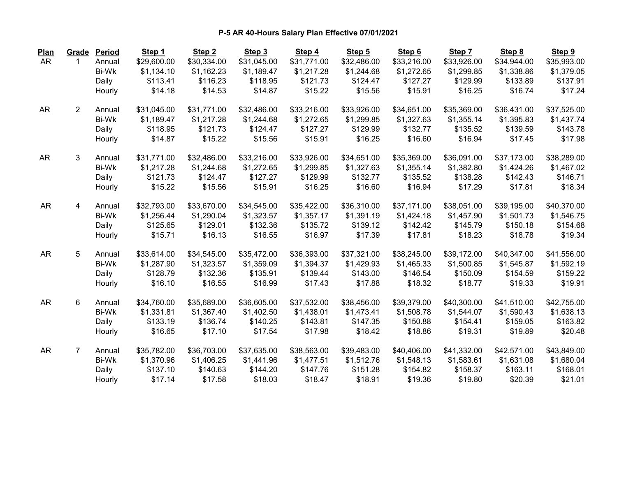| <b>Plan</b> | Grade          | Period | Step 1      | Step <sub>2</sub> | Step 3      | Step 4      | Step 5      | Step 6      | Step 7      | Step 8      | Step 9      |
|-------------|----------------|--------|-------------|-------------------|-------------|-------------|-------------|-------------|-------------|-------------|-------------|
| <b>AR</b>   | $\mathbf{1}$   | Annual | \$29,600.00 | \$30,334.00       | \$31,045.00 | \$31,771.00 | \$32,486.00 | \$33,216.00 | \$33,926.00 | \$34,944.00 | \$35,993.00 |
|             |                | Bi-Wk  | \$1,134.10  | \$1,162.23        | \$1,189.47  | \$1,217.28  | \$1,244.68  | \$1,272.65  | \$1,299.85  | \$1,338.86  | \$1,379.05  |
|             |                | Daily  | \$113.41    | \$116.23          | \$118.95    | \$121.73    | \$124.47    | \$127.27    | \$129.99    | \$133.89    | \$137.91    |
|             |                | Hourly | \$14.18     | \$14.53           | \$14.87     | \$15.22     | \$15.56     | \$15.91     | \$16.25     | \$16.74     | \$17.24     |
| <b>AR</b>   | $\overline{2}$ | Annual | \$31,045.00 | \$31,771.00       | \$32,486.00 | \$33,216.00 | \$33,926.00 | \$34,651.00 | \$35,369.00 | \$36,431.00 | \$37,525.00 |
|             |                | Bi-Wk  | \$1,189.47  | \$1,217.28        | \$1,244.68  | \$1,272.65  | \$1,299.85  | \$1,327.63  | \$1,355.14  | \$1,395.83  | \$1,437.74  |
|             |                | Daily  | \$118.95    | \$121.73          | \$124.47    | \$127.27    | \$129.99    | \$132.77    | \$135.52    | \$139.59    | \$143.78    |
|             |                | Hourly | \$14.87     | \$15.22           | \$15.56     | \$15.91     | \$16.25     | \$16.60     | \$16.94     | \$17.45     | \$17.98     |
| <b>AR</b>   | 3              | Annual | \$31,771.00 | \$32,486.00       | \$33,216.00 | \$33,926.00 | \$34,651.00 | \$35,369.00 | \$36,091.00 | \$37,173.00 | \$38,289.00 |
|             |                | Bi-Wk  | \$1,217.28  | \$1,244.68        | \$1,272.65  | \$1,299.85  | \$1,327.63  | \$1,355.14  | \$1,382.80  | \$1,424.26  | \$1,467.02  |
|             |                | Daily  | \$121.73    | \$124.47          | \$127.27    | \$129.99    | \$132.77    | \$135.52    | \$138.28    | \$142.43    | \$146.71    |
|             |                | Hourly | \$15.22     | \$15.56           | \$15.91     | \$16.25     | \$16.60     | \$16.94     | \$17.29     | \$17.81     | \$18.34     |
| AR          | 4              | Annual | \$32,793.00 | \$33,670.00       | \$34,545.00 | \$35,422.00 | \$36,310.00 | \$37,171.00 | \$38,051.00 | \$39,195.00 | \$40,370.00 |
|             |                | Bi-Wk  | \$1,256.44  | \$1,290.04        | \$1,323.57  | \$1,357.17  | \$1,391.19  | \$1,424.18  | \$1,457.90  | \$1,501.73  | \$1,546.75  |
|             |                | Daily  | \$125.65    | \$129.01          | \$132.36    | \$135.72    | \$139.12    | \$142.42    | \$145.79    | \$150.18    | \$154.68    |
|             |                | Hourly | \$15.71     | \$16.13           | \$16.55     | \$16.97     | \$17.39     | \$17.81     | \$18.23     | \$18.78     | \$19.34     |
| <b>AR</b>   | 5              | Annual | \$33,614.00 | \$34,545.00       | \$35,472.00 | \$36,393.00 | \$37,321.00 | \$38,245.00 | \$39,172.00 | \$40,347.00 | \$41,556.00 |
|             |                | Bi-Wk  | \$1,287.90  | \$1,323.57        | \$1,359.09  | \$1,394.37  | \$1,429.93  | \$1,465.33  | \$1,500.85  | \$1,545.87  | \$1,592.19  |
|             |                | Daily  | \$128.79    | \$132.36          | \$135.91    | \$139.44    | \$143.00    | \$146.54    | \$150.09    | \$154.59    | \$159.22    |
|             |                | Hourly | \$16.10     | \$16.55           | \$16.99     | \$17.43     | \$17.88     | \$18.32     | \$18.77     | \$19.33     | \$19.91     |
| <b>AR</b>   | 6              | Annual | \$34,760.00 | \$35,689.00       | \$36,605.00 | \$37,532.00 | \$38,456.00 | \$39,379.00 | \$40,300.00 | \$41,510.00 | \$42,755.00 |
|             |                | Bi-Wk  | \$1,331.81  | \$1,367.40        | \$1,402.50  | \$1,438.01  | \$1,473.41  | \$1,508.78  | \$1,544.07  | \$1,590.43  | \$1,638.13  |
|             |                | Daily  | \$133.19    | \$136.74          | \$140.25    | \$143.81    | \$147.35    | \$150.88    | \$154.41    | \$159.05    | \$163.82    |
|             |                | Hourly | \$16.65     | \$17.10           | \$17.54     | \$17.98     | \$18.42     | \$18.86     | \$19.31     | \$19.89     | \$20.48     |
| <b>AR</b>   | $\overline{7}$ | Annual | \$35,782.00 | \$36,703.00       | \$37,635.00 | \$38,563.00 | \$39,483.00 | \$40,406.00 | \$41,332.00 | \$42,571.00 | \$43,849.00 |
|             |                | Bi-Wk  | \$1,370.96  | \$1,406.25        | \$1,441.96  | \$1,477.51  | \$1,512.76  | \$1,548.13  | \$1,583.61  | \$1,631.08  | \$1,680.04  |
|             |                | Daily  | \$137.10    | \$140.63          | \$144.20    | \$147.76    | \$151.28    | \$154.82    | \$158.37    | \$163.11    | \$168.01    |
|             |                | Hourly | \$17.14     | \$17.58           | \$18.03     | \$18.47     | \$18.91     | \$19.36     | \$19.80     | \$20.39     | \$21.01     |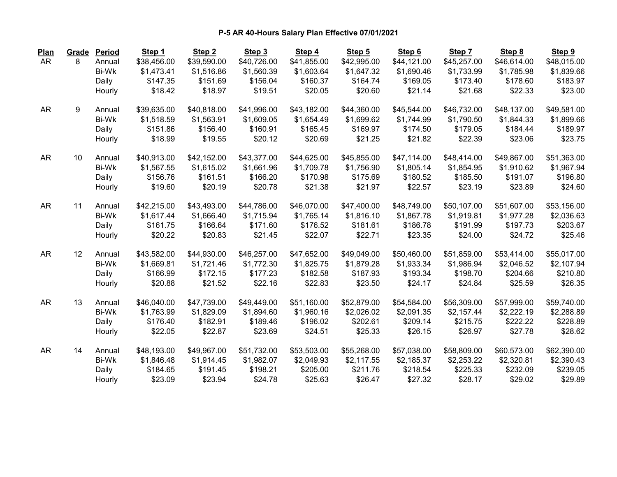| <b>Plan</b> | Grade           | <b>Period</b> | Step 1      | Step <sub>2</sub> | Step 3      | Step 4      | Step 5      | Step 6      | Step 7      | Step 8      | Step 9      |
|-------------|-----------------|---------------|-------------|-------------------|-------------|-------------|-------------|-------------|-------------|-------------|-------------|
| <b>AR</b>   | 8               | Annual        | \$38,456.00 | \$39,590.00       | \$40,726.00 | \$41,855.00 | \$42,995.00 | \$44,121.00 | \$45,257.00 | \$46,614.00 | \$48,015.00 |
|             |                 | Bi-Wk         | \$1,473.41  | \$1,516.86        | \$1,560.39  | \$1,603.64  | \$1,647.32  | \$1,690.46  | \$1,733.99  | \$1,785.98  | \$1,839.66  |
|             |                 | Daily         | \$147.35    | \$151.69          | \$156.04    | \$160.37    | \$164.74    | \$169.05    | \$173.40    | \$178.60    | \$183.97    |
|             |                 | Hourly        | \$18.42     | \$18.97           | \$19.51     | \$20.05     | \$20.60     | \$21.14     | \$21.68     | \$22.33     | \$23.00     |
| <b>AR</b>   | 9               | Annual        | \$39,635.00 | \$40,818.00       | \$41,996.00 | \$43,182.00 | \$44,360.00 | \$45,544.00 | \$46,732.00 | \$48,137.00 | \$49,581.00 |
|             |                 | Bi-Wk         | \$1,518.59  | \$1,563.91        | \$1,609.05  | \$1,654.49  | \$1,699.62  | \$1,744.99  | \$1,790.50  | \$1,844.33  | \$1,899.66  |
|             |                 | Daily         | \$151.86    | \$156.40          | \$160.91    | \$165.45    | \$169.97    | \$174.50    | \$179.05    | \$184.44    | \$189.97    |
|             |                 | Hourly        | \$18.99     | \$19.55           | \$20.12     | \$20.69     | \$21.25     | \$21.82     | \$22.39     | \$23.06     | \$23.75     |
| <b>AR</b>   | 10 <sup>°</sup> | Annual        | \$40,913.00 | \$42,152.00       | \$43,377.00 | \$44,625.00 | \$45,855.00 | \$47,114.00 | \$48,414.00 | \$49,867.00 | \$51,363.00 |
|             |                 | Bi-Wk         | \$1,567.55  | \$1,615.02        | \$1,661.96  | \$1,709.78  | \$1,756.90  | \$1,805.14  | \$1,854.95  | \$1,910.62  | \$1,967.94  |
|             |                 | Daily         | \$156.76    | \$161.51          | \$166.20    | \$170.98    | \$175.69    | \$180.52    | \$185.50    | \$191.07    | \$196.80    |
|             |                 | Hourly        | \$19.60     | \$20.19           | \$20.78     | \$21.38     | \$21.97     | \$22.57     | \$23.19     | \$23.89     | \$24.60     |
| AR.         | 11              | Annual        | \$42,215.00 | \$43,493.00       | \$44,786.00 | \$46,070.00 | \$47,400.00 | \$48,749.00 | \$50,107.00 | \$51,607.00 | \$53,156.00 |
|             |                 | Bi-Wk         | \$1,617.44  | \$1,666.40        | \$1,715.94  | \$1,765.14  | \$1,816.10  | \$1,867.78  | \$1,919.81  | \$1,977.28  | \$2,036.63  |
|             |                 | Daily         | \$161.75    | \$166.64          | \$171.60    | \$176.52    | \$181.61    | \$186.78    | \$191.99    | \$197.73    | \$203.67    |
|             |                 | Hourly        | \$20.22     | \$20.83           | \$21.45     | \$22.07     | \$22.71     | \$23.35     | \$24.00     | \$24.72     | \$25.46     |
| <b>AR</b>   | 12              | Annual        | \$43,582.00 | \$44,930.00       | \$46,257.00 | \$47,652.00 | \$49,049.00 | \$50,460.00 | \$51,859.00 | \$53,414.00 | \$55,017.00 |
|             |                 | Bi-Wk         | \$1,669.81  | \$1,721.46        | \$1,772.30  | \$1,825.75  | \$1,879.28  | \$1,933.34  | \$1,986.94  | \$2,046.52  | \$2,107.94  |
|             |                 | Daily         | \$166.99    | \$172.15          | \$177.23    | \$182.58    | \$187.93    | \$193.34    | \$198.70    | \$204.66    | \$210.80    |
|             |                 | Hourly        | \$20.88     | \$21.52           | \$22.16     | \$22.83     | \$23.50     | \$24.17     | \$24.84     | \$25.59     | \$26.35     |
| <b>AR</b>   | 13              | Annual        | \$46,040.00 | \$47,739.00       | \$49,449.00 | \$51,160.00 | \$52,879.00 | \$54,584.00 | \$56,309.00 | \$57,999.00 | \$59,740.00 |
|             |                 | Bi-Wk         | \$1,763.99  | \$1,829.09        | \$1,894.60  | \$1,960.16  | \$2,026.02  | \$2,091.35  | \$2,157.44  | \$2,222.19  | \$2,288.89  |
|             |                 | Daily         | \$176.40    | \$182.91          | \$189.46    | \$196.02    | \$202.61    | \$209.14    | \$215.75    | \$222.22    | \$228.89    |
|             |                 | Hourly        | \$22.05     | \$22.87           | \$23.69     | \$24.51     | \$25.33     | \$26.15     | \$26.97     | \$27.78     | \$28.62     |
| <b>AR</b>   | 14              | Annual        | \$48,193.00 | \$49,967.00       | \$51,732.00 | \$53,503.00 | \$55,268.00 | \$57,038.00 | \$58,809.00 | \$60,573.00 | \$62,390.00 |
|             |                 | Bi-Wk         | \$1,846.48  | \$1,914.45        | \$1,982.07  | \$2,049.93  | \$2,117.55  | \$2,185.37  | \$2,253.22  | \$2,320.81  | \$2,390.43  |
|             |                 | Daily         | \$184.65    | \$191.45          | \$198.21    | \$205.00    | \$211.76    | \$218.54    | \$225.33    | \$232.09    | \$239.05    |
|             |                 | Hourly        | \$23.09     | \$23.94           | \$24.78     | \$25.63     | \$26.47     | \$27.32     | \$28.17     | \$29.02     | \$29.89     |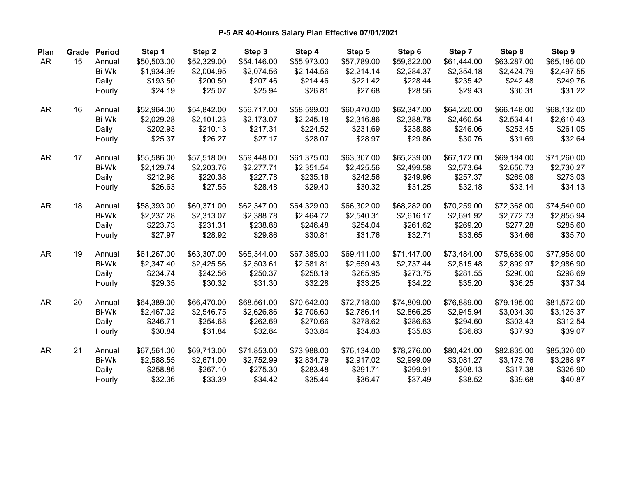| Plan      | Grade | <b>Period</b> | Step 1      | Step <sub>2</sub> | Step 3      | Step 4      | Step 5      | Step 6      | Step 7      | Step 8      | Step 9      |
|-----------|-------|---------------|-------------|-------------------|-------------|-------------|-------------|-------------|-------------|-------------|-------------|
| <b>AR</b> | 15    | Annual        | \$50,503.00 | \$52,329.00       | \$54,146.00 | \$55,973.00 | \$57,789.00 | \$59,622.00 | \$61,444.00 | \$63,287.00 | \$65,186.00 |
|           |       | Bi-Wk         | \$1,934.99  | \$2,004.95        | \$2,074.56  | \$2,144.56  | \$2,214.14  | \$2,284.37  | \$2,354.18  | \$2,424.79  | \$2,497.55  |
|           |       | Daily         | \$193.50    | \$200.50          | \$207.46    | \$214.46    | \$221.42    | \$228.44    | \$235.42    | \$242.48    | \$249.76    |
|           |       | Hourly        | \$24.19     | \$25.07           | \$25.94     | \$26.81     | \$27.68     | \$28.56     | \$29.43     | \$30.31     | \$31.22     |
| <b>AR</b> | 16    | Annual        | \$52,964.00 | \$54,842.00       | \$56,717.00 | \$58,599.00 | \$60,470.00 | \$62,347.00 | \$64,220.00 | \$66,148.00 | \$68,132.00 |
|           |       | Bi-Wk         | \$2,029.28  | \$2,101.23        | \$2,173.07  | \$2,245.18  | \$2,316.86  | \$2,388.78  | \$2,460.54  | \$2,534.41  | \$2,610.43  |
|           |       | Daily         | \$202.93    | \$210.13          | \$217.31    | \$224.52    | \$231.69    | \$238.88    | \$246.06    | \$253.45    | \$261.05    |
|           |       | Hourly        | \$25.37     | \$26.27           | \$27.17     | \$28.07     | \$28.97     | \$29.86     | \$30.76     | \$31.69     | \$32.64     |
| <b>AR</b> | 17    | Annual        | \$55,586.00 | \$57,518.00       | \$59,448.00 | \$61,375.00 | \$63,307.00 | \$65,239.00 | \$67,172.00 | \$69,184.00 | \$71,260.00 |
|           |       | Bi-Wk         | \$2,129.74  | \$2,203.76        | \$2,277.71  | \$2,351.54  | \$2,425.56  | \$2,499.58  | \$2,573.64  | \$2,650.73  | \$2,730.27  |
|           |       | Daily         | \$212.98    | \$220.38          | \$227.78    | \$235.16    | \$242.56    | \$249.96    | \$257.37    | \$265.08    | \$273.03    |
|           |       | Hourly        | \$26.63     | \$27.55           | \$28.48     | \$29.40     | \$30.32     | \$31.25     | \$32.18     | \$33.14     | \$34.13     |
| AR.       | 18    | Annual        | \$58,393.00 | \$60,371.00       | \$62,347.00 | \$64,329.00 | \$66,302.00 | \$68,282.00 | \$70,259.00 | \$72,368.00 | \$74,540.00 |
|           |       | Bi-Wk         | \$2,237.28  | \$2,313.07        | \$2,388.78  | \$2,464.72  | \$2,540.31  | \$2,616.17  | \$2,691.92  | \$2,772.73  | \$2,855.94  |
|           |       | Daily         | \$223.73    | \$231.31          | \$238.88    | \$246.48    | \$254.04    | \$261.62    | \$269.20    | \$277.28    | \$285.60    |
|           |       | Hourly        | \$27.97     | \$28.92           | \$29.86     | \$30.81     | \$31.76     | \$32.71     | \$33.65     | \$34.66     | \$35.70     |
| <b>AR</b> | 19    | Annual        | \$61,267.00 | \$63,307.00       | \$65,344.00 | \$67,385.00 | \$69,411.00 | \$71,447.00 | \$73,484.00 | \$75,689.00 | \$77,958.00 |
|           |       | Bi-Wk         | \$2,347.40  | \$2,425.56        | \$2,503.61  | \$2,581.81  | \$2,659.43  | \$2,737.44  | \$2,815.48  | \$2,899.97  | \$2,986.90  |
|           |       | Daily         | \$234.74    | \$242.56          | \$250.37    | \$258.19    | \$265.95    | \$273.75    | \$281.55    | \$290.00    | \$298.69    |
|           |       | Hourly        | \$29.35     | \$30.32           | \$31.30     | \$32.28     | \$33.25     | \$34.22     | \$35.20     | \$36.25     | \$37.34     |
| <b>AR</b> | 20    | Annual        | \$64,389.00 | \$66,470.00       | \$68,561.00 | \$70,642.00 | \$72,718.00 | \$74,809.00 | \$76,889.00 | \$79,195.00 | \$81,572.00 |
|           |       | Bi-Wk         | \$2,467.02  | \$2,546.75        | \$2,626.86  | \$2,706.60  | \$2,786.14  | \$2,866.25  | \$2,945.94  | \$3,034.30  | \$3,125.37  |
|           |       | Daily         | \$246.71    | \$254.68          | \$262.69    | \$270.66    | \$278.62    | \$286.63    | \$294.60    | \$303.43    | \$312.54    |
|           |       | Hourly        | \$30.84     | \$31.84           | \$32.84     | \$33.84     | \$34.83     | \$35.83     | \$36.83     | \$37.93     | \$39.07     |
| <b>AR</b> | 21    | Annual        | \$67,561.00 | \$69,713.00       | \$71,853.00 | \$73,988.00 | \$76,134.00 | \$78,276.00 | \$80,421.00 | \$82,835.00 | \$85,320.00 |
|           |       | Bi-Wk         | \$2,588.55  | \$2,671.00        | \$2,752.99  | \$2,834.79  | \$2,917.02  | \$2,999.09  | \$3,081.27  | \$3,173.76  | \$3,268.97  |
|           |       | Daily         | \$258.86    | \$267.10          | \$275.30    | \$283.48    | \$291.71    | \$299.91    | \$308.13    | \$317.38    | \$326.90    |
|           |       | Hourly        | \$32.36     | \$33.39           | \$34.42     | \$35.44     | \$36.47     | \$37.49     | \$38.52     | \$39.68     | \$40.87     |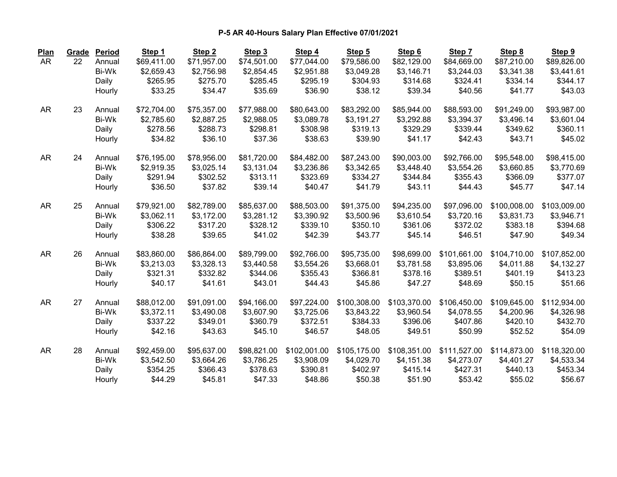| <b>Plan</b> | Grade | Period | Step 1      | Step <sub>2</sub> | Step 3      | Step 4       | Step 5       | Step 6       | Step 7       | Step 8       | Step 9       |
|-------------|-------|--------|-------------|-------------------|-------------|--------------|--------------|--------------|--------------|--------------|--------------|
| <b>AR</b>   | 22    | Annual | \$69,411.00 | \$71,957.00       | \$74,501.00 | \$77,044.00  | \$79,586.00  | \$82,129.00  | \$84,669.00  | \$87,210.00  | \$89,826.00  |
|             |       | Bi-Wk  | \$2,659.43  | \$2,756.98        | \$2,854.45  | \$2,951.88   | \$3,049.28   | \$3,146.71   | \$3,244.03   | \$3,341.38   | \$3,441.61   |
|             |       | Daily  | \$265.95    | \$275.70          | \$285.45    | \$295.19     | \$304.93     | \$314.68     | \$324.41     | \$334.14     | \$344.17     |
|             |       | Hourly | \$33.25     | \$34.47           | \$35.69     | \$36.90      | \$38.12      | \$39.34      | \$40.56      | \$41.77      | \$43.03      |
| <b>AR</b>   | 23    | Annual | \$72,704.00 | \$75,357.00       | \$77,988.00 | \$80,643.00  | \$83,292.00  | \$85,944.00  | \$88,593.00  | \$91,249.00  | \$93,987.00  |
|             |       | Bi-Wk  | \$2,785.60  | \$2,887.25        | \$2,988.05  | \$3,089.78   | \$3,191.27   | \$3,292.88   | \$3,394.37   | \$3,496.14   | \$3,601.04   |
|             |       | Daily  | \$278.56    | \$288.73          | \$298.81    | \$308.98     | \$319.13     | \$329.29     | \$339.44     | \$349.62     | \$360.11     |
|             |       | Hourly | \$34.82     | \$36.10           | \$37.36     | \$38.63      | \$39.90      | \$41.17      | \$42.43      | \$43.71      | \$45.02      |
| <b>AR</b>   | 24    | Annual | \$76,195.00 | \$78,956.00       | \$81,720.00 | \$84,482.00  | \$87,243.00  | \$90,003.00  | \$92,766.00  | \$95,548.00  | \$98,415.00  |
|             |       | Bi-Wk  | \$2,919.35  | \$3,025.14        | \$3,131.04  | \$3,236.86   | \$3,342.65   | \$3,448.40   | \$3,554.26   | \$3,660.85   | \$3,770.69   |
|             |       | Daily  | \$291.94    | \$302.52          | \$313.11    | \$323.69     | \$334.27     | \$344.84     | \$355.43     | \$366.09     | \$377.07     |
|             |       | Hourly | \$36.50     | \$37.82           | \$39.14     | \$40.47      | \$41.79      | \$43.11      | \$44.43      | \$45.77      | \$47.14      |
| <b>AR</b>   | 25    | Annual | \$79,921.00 | \$82,789.00       | \$85,637.00 | \$88,503.00  | \$91,375.00  | \$94,235.00  | \$97,096.00  | \$100,008.00 | \$103,009.00 |
|             |       | Bi-Wk  | \$3,062.11  | \$3,172.00        | \$3,281.12  | \$3,390.92   | \$3,500.96   | \$3,610.54   | \$3,720.16   | \$3,831.73   | \$3,946.71   |
|             |       | Daily  | \$306.22    | \$317.20          | \$328.12    | \$339.10     | \$350.10     | \$361.06     | \$372.02     | \$383.18     | \$394.68     |
|             |       | Hourly | \$38.28     | \$39.65           | \$41.02     | \$42.39      | \$43.77      | \$45.14      | \$46.51      | \$47.90      | \$49.34      |
| <b>AR</b>   | 26    | Annual | \$83,860.00 | \$86,864.00       | \$89,799.00 | \$92,766.00  | \$95,735.00  | \$98,699.00  | \$101,661.00 | \$104,710.00 | \$107,852.00 |
|             |       | Bi-Wk  | \$3,213.03  | \$3,328.13        | \$3,440.58  | \$3,554.26   | \$3,668.01   | \$3,781.58   | \$3,895.06   | \$4,011.88   | \$4,132.27   |
|             |       | Daily  | \$321.31    | \$332.82          | \$344.06    | \$355.43     | \$366.81     | \$378.16     | \$389.51     | \$401.19     | \$413.23     |
|             |       | Hourly | \$40.17     | \$41.61           | \$43.01     | \$44.43      | \$45.86      | \$47.27      | \$48.69      | \$50.15      | \$51.66      |
| <b>AR</b>   | 27    | Annual | \$88,012.00 | \$91,091.00       | \$94,166.00 | \$97,224.00  | \$100,308.00 | \$103,370.00 | \$106,450.00 | \$109,645.00 | \$112,934.00 |
|             |       | Bi-Wk  | \$3,372.11  | \$3,490.08        | \$3,607.90  | \$3,725.06   | \$3,843.22   | \$3,960.54   | \$4,078.55   | \$4,200.96   | \$4,326.98   |
|             |       | Daily  | \$337.22    | \$349.01          | \$360.79    | \$372.51     | \$384.33     | \$396.06     | \$407.86     | \$420.10     | \$432.70     |
|             |       | Hourly | \$42.16     | \$43.63           | \$45.10     | \$46.57      | \$48.05      | \$49.51      | \$50.99      | \$52.52      | \$54.09      |
| <b>AR</b>   | 28    | Annual | \$92,459.00 | \$95,637.00       | \$98,821.00 | \$102,001.00 | \$105,175.00 | \$108,351.00 | \$111,527.00 | \$114,873.00 | \$118,320.00 |
|             |       | Bi-Wk  | \$3,542.50  | \$3,664.26        | \$3,786.25  | \$3,908.09   | \$4,029.70   | \$4,151.38   | \$4,273.07   | \$4,401.27   | \$4,533.34   |
|             |       | Daily  | \$354.25    | \$366.43          | \$378.63    | \$390.81     | \$402.97     | \$415.14     | \$427.31     | \$440.13     | \$453.34     |
|             |       | Hourly | \$44.29     | \$45.81           | \$47.33     | \$48.86      | \$50.38      | \$51.90      | \$53.42      | \$55.02      | \$56.67      |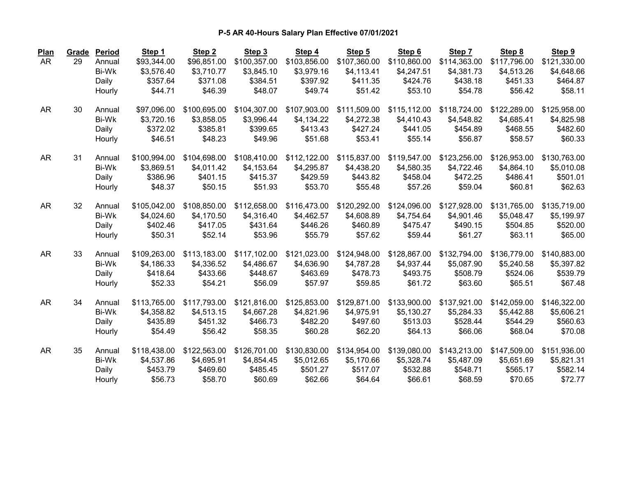| <b>Plan</b> | Grade | Period | Step 1       | Step <sub>2</sub> | Step 3       | Step 4       | Step 5       | Step 6       | Step 7       | Step 8       | Step 9       |
|-------------|-------|--------|--------------|-------------------|--------------|--------------|--------------|--------------|--------------|--------------|--------------|
| <b>AR</b>   | 29    | Annual | \$93,344.00  | \$96,851.00       | \$100,357.00 | \$103,856.00 | \$107,360.00 | \$110,860.00 | \$114,363.00 | \$117,796.00 | \$121,330.00 |
|             |       | Bi-Wk  | \$3,576.40   | \$3,710.77        | \$3,845.10   | \$3,979.16   | \$4,113.41   | \$4,247.51   | \$4,381.73   | \$4,513.26   | \$4,648.66   |
|             |       | Daily  | \$357.64     | \$371.08          | \$384.51     | \$397.92     | \$411.35     | \$424.76     | \$438.18     | \$451.33     | \$464.87     |
|             |       | Hourly | \$44.71      | \$46.39           | \$48.07      | \$49.74      | \$51.42      | \$53.10      | \$54.78      | \$56.42      | \$58.11      |
| AR          | 30    | Annual | \$97,096.00  | \$100,695.00      | \$104,307.00 | \$107,903.00 | \$111,509.00 | \$115,112.00 | \$118,724.00 | \$122,289.00 | \$125,958.00 |
|             |       | Bi-Wk  | \$3,720.16   | \$3,858.05        | \$3,996.44   | \$4,134.22   | \$4,272.38   | \$4,410.43   | \$4,548.82   | \$4,685.41   | \$4,825.98   |
|             |       | Daily  | \$372.02     | \$385.81          | \$399.65     | \$413.43     | \$427.24     | \$441.05     | \$454.89     | \$468.55     | \$482.60     |
|             |       | Hourly | \$46.51      | \$48.23           | \$49.96      | \$51.68      | \$53.41      | \$55.14      | \$56.87      | \$58.57      | \$60.33      |
| <b>AR</b>   | 31    | Annual | \$100,994.00 | \$104,698.00      | \$108,410.00 | \$112,122.00 | \$115,837.00 | \$119,547.00 | \$123,256.00 | \$126,953.00 | \$130,763.00 |
|             |       | Bi-Wk  | \$3,869.51   | \$4,011.42        | \$4,153.64   | \$4,295.87   | \$4,438.20   | \$4,580.35   | \$4,722.46   | \$4,864.10   | \$5,010.08   |
|             |       | Daily  | \$386.96     | \$401.15          | \$415.37     | \$429.59     | \$443.82     | \$458.04     | \$472.25     | \$486.41     | \$501.01     |
|             |       | Hourly | \$48.37      | \$50.15           | \$51.93      | \$53.70      | \$55.48      | \$57.26      | \$59.04      | \$60.81      | \$62.63      |
| <b>AR</b>   | 32    | Annual | \$105,042.00 | \$108,850.00      | \$112,658.00 | \$116,473.00 | \$120,292.00 | \$124,096.00 | \$127,928.00 | \$131,765.00 | \$135,719.00 |
|             |       | Bi-Wk  | \$4,024.60   | \$4,170.50        | \$4,316.40   | \$4,462.57   | \$4,608.89   | \$4,754.64   | \$4,901.46   | \$5,048.47   | \$5,199.97   |
|             |       | Daily  | \$402.46     | \$417.05          | \$431.64     | \$446.26     | \$460.89     | \$475.47     | \$490.15     | \$504.85     | \$520.00     |
|             |       | Hourly | \$50.31      | \$52.14           | \$53.96      | \$55.79      | \$57.62      | \$59.44      | \$61.27      | \$63.11      | \$65.00      |
| <b>AR</b>   | 33    | Annual | \$109,263.00 | \$113,183.00      | \$117,102.00 | \$121,023.00 | \$124,948.00 | \$128,867.00 | \$132,794.00 | \$136,779.00 | \$140,883.00 |
|             |       | Bi-Wk  | \$4,186.33   | \$4,336.52        | \$4,486.67   | \$4,636.90   | \$4,787.28   | \$4,937.44   | \$5,087.90   | \$5,240.58   | \$5,397.82   |
|             |       | Daily  | \$418.64     | \$433.66          | \$448.67     | \$463.69     | \$478.73     | \$493.75     | \$508.79     | \$524.06     | \$539.79     |
|             |       | Hourly | \$52.33      | \$54.21           | \$56.09      | \$57.97      | \$59.85      | \$61.72      | \$63.60      | \$65.51      | \$67.48      |
| <b>AR</b>   | 34    | Annual | \$113,765.00 | \$117,793.00      | \$121,816.00 | \$125,853.00 | \$129,871.00 | \$133,900.00 | \$137,921.00 | \$142,059.00 | \$146,322.00 |
|             |       | Bi-Wk  | \$4,358.82   | \$4,513.15        | \$4,667.28   | \$4,821.96   | \$4,975.91   | \$5,130.27   | \$5,284.33   | \$5,442.88   | \$5,606.21   |
|             |       | Daily  | \$435.89     | \$451.32          | \$466.73     | \$482.20     | \$497.60     | \$513.03     | \$528.44     | \$544.29     | \$560.63     |
|             |       | Hourly | \$54.49      | \$56.42           | \$58.35      | \$60.28      | \$62.20      | \$64.13      | \$66.06      | \$68.04      | \$70.08      |
| <b>AR</b>   | 35    | Annual | \$118,438.00 | \$122,563.00      | \$126,701.00 | \$130,830.00 | \$134,954.00 | \$139,080.00 | \$143,213.00 | \$147,509.00 | \$151,936.00 |
|             |       | Bi-Wk  | \$4,537.86   | \$4,695.91        | \$4,854.45   | \$5,012.65   | \$5,170.66   | \$5,328.74   | \$5,487.09   | \$5,651.69   | \$5,821.31   |
|             |       | Daily  | \$453.79     | \$469.60          | \$485.45     | \$501.27     | \$517.07     | \$532.88     | \$548.71     | \$565.17     | \$582.14     |
|             |       | Hourly | \$56.73      | \$58.70           | \$60.69      | \$62.66      | \$64.64      | \$66.61      | \$68.59      | \$70.65      | \$72.77      |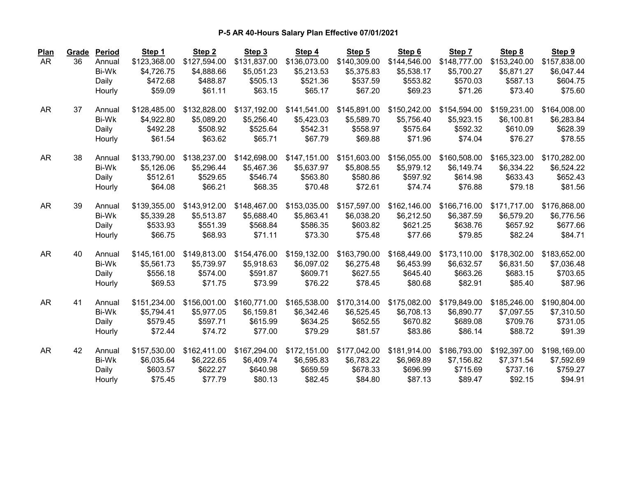| <b>Plan</b> | Grade | <b>Period</b> | Step 1       | Step <sub>2</sub> | Step 3       | Step 4       | Step 5       | Step 6       | Step 7       | Step 8       | Step 9       |
|-------------|-------|---------------|--------------|-------------------|--------------|--------------|--------------|--------------|--------------|--------------|--------------|
| <b>AR</b>   | 36    | Annual        | \$123,368.00 | \$127,594.00      | \$131,837.00 | \$136,073.00 | \$140,309.00 | \$144,546.00 | \$148,777.00 | \$153,240.00 | \$157,838.00 |
|             |       | Bi-Wk         | \$4,726.75   | \$4,888.66        | \$5,051.23   | \$5,213.53   | \$5,375.83   | \$5,538.17   | \$5,700.27   | \$5,871.27   | \$6,047.44   |
|             |       | Daily         | \$472.68     | \$488.87          | \$505.13     | \$521.36     | \$537.59     | \$553.82     | \$570.03     | \$587.13     | \$604.75     |
|             |       | Hourly        | \$59.09      | \$61.11           | \$63.15      | \$65.17      | \$67.20      | \$69.23      | \$71.26      | \$73.40      | \$75.60      |
| AR          | 37    | Annual        | \$128,485.00 | \$132,828.00      | \$137,192.00 | \$141,541.00 | \$145,891.00 | \$150,242.00 | \$154,594.00 | \$159,231.00 | \$164,008.00 |
|             |       | Bi-Wk         | \$4,922.80   | \$5,089.20        | \$5,256.40   | \$5,423.03   | \$5,589.70   | \$5,756.40   | \$5,923.15   | \$6,100.81   | \$6,283.84   |
|             |       | Daily         | \$492.28     | \$508.92          | \$525.64     | \$542.31     | \$558.97     | \$575.64     | \$592.32     | \$610.09     | \$628.39     |
|             |       | Hourly        | \$61.54      | \$63.62           | \$65.71      | \$67.79      | \$69.88      | \$71.96      | \$74.04      | \$76.27      | \$78.55      |
| <b>AR</b>   | 38    | Annual        | \$133,790.00 | \$138,237.00      | \$142,698.00 | \$147,151.00 | \$151,603.00 | \$156,055.00 | \$160,508.00 | \$165,323.00 | \$170,282.00 |
|             |       | Bi-Wk         | \$5,126.06   | \$5,296.44        | \$5,467.36   | \$5,637.97   | \$5,808.55   | \$5,979.12   | \$6,149.74   | \$6,334.22   | \$6,524.22   |
|             |       | Daily         | \$512.61     | \$529.65          | \$546.74     | \$563.80     | \$580.86     | \$597.92     | \$614.98     | \$633.43     | \$652.43     |
|             |       | Hourly        | \$64.08      | \$66.21           | \$68.35      | \$70.48      | \$72.61      | \$74.74      | \$76.88      | \$79.18      | \$81.56      |
| AR          | 39    | Annual        | \$139,355.00 | \$143,912.00      | \$148,467.00 | \$153,035.00 | \$157,597.00 | \$162,146.00 | \$166,716.00 | \$171,717.00 | \$176,868.00 |
|             |       | Bi-Wk         | \$5,339.28   | \$5,513.87        | \$5,688.40   | \$5,863.41   | \$6,038.20   | \$6,212.50   | \$6,387.59   | \$6,579.20   | \$6,776.56   |
|             |       | Daily         | \$533.93     | \$551.39          | \$568.84     | \$586.35     | \$603.82     | \$621.25     | \$638.76     | \$657.92     | \$677.66     |
|             |       | Hourly        | \$66.75      | \$68.93           | \$71.11      | \$73.30      | \$75.48      | \$77.66      | \$79.85      | \$82.24      | \$84.71      |
| <b>AR</b>   | 40    | Annual        | \$145,161.00 | \$149,813.00      | \$154,476.00 | \$159,132.00 | \$163,790.00 | \$168,449.00 | \$173,110.00 | \$178,302.00 | \$183,652.00 |
|             |       | Bi-Wk         | \$5,561.73   | \$5,739.97        | \$5,918.63   | \$6,097.02   | \$6,275.48   | \$6,453.99   | \$6,632.57   | \$6,831.50   | \$7,036.48   |
|             |       | Daily         | \$556.18     | \$574.00          | \$591.87     | \$609.71     | \$627.55     | \$645.40     | \$663.26     | \$683.15     | \$703.65     |
|             |       | Hourly        | \$69.53      | \$71.75           | \$73.99      | \$76.22      | \$78.45      | \$80.68      | \$82.91      | \$85.40      | \$87.96      |
| <b>AR</b>   | 41    | Annual        | \$151,234.00 | \$156,001.00      | \$160,771.00 | \$165,538.00 | \$170,314.00 | \$175,082.00 | \$179,849.00 | \$185,246.00 | \$190,804.00 |
|             |       | Bi-Wk         | \$5,794.41   | \$5,977.05        | \$6,159.81   | \$6,342.46   | \$6,525.45   | \$6,708.13   | \$6,890.77   | \$7,097.55   | \$7,310.50   |
|             |       | Daily         | \$579.45     | \$597.71          | \$615.99     | \$634.25     | \$652.55     | \$670.82     | \$689.08     | \$709.76     | \$731.05     |
|             |       | Hourly        | \$72.44      | \$74.72           | \$77.00      | \$79.29      | \$81.57      | \$83.86      | \$86.14      | \$88.72      | \$91.39      |
| <b>AR</b>   | 42    | Annual        | \$157,530.00 | \$162,411.00      | \$167,294.00 | \$172,151.00 | \$177,042.00 | \$181,914.00 | \$186,793.00 | \$192,397.00 | \$198,169.00 |
|             |       | Bi-Wk         | \$6,035.64   | \$6,222.65        | \$6,409.74   | \$6,595.83   | \$6,783.22   | \$6,969.89   | \$7,156.82   | \$7,371.54   | \$7,592.69   |
|             |       | Daily         | \$603.57     | \$622.27          | \$640.98     | \$659.59     | \$678.33     | \$696.99     | \$715.69     | \$737.16     | \$759.27     |
|             |       | Hourly        | \$75.45      | \$77.79           | \$80.13      | \$82.45      | \$84.80      | \$87.13      | \$89.47      | \$92.15      | \$94.91      |